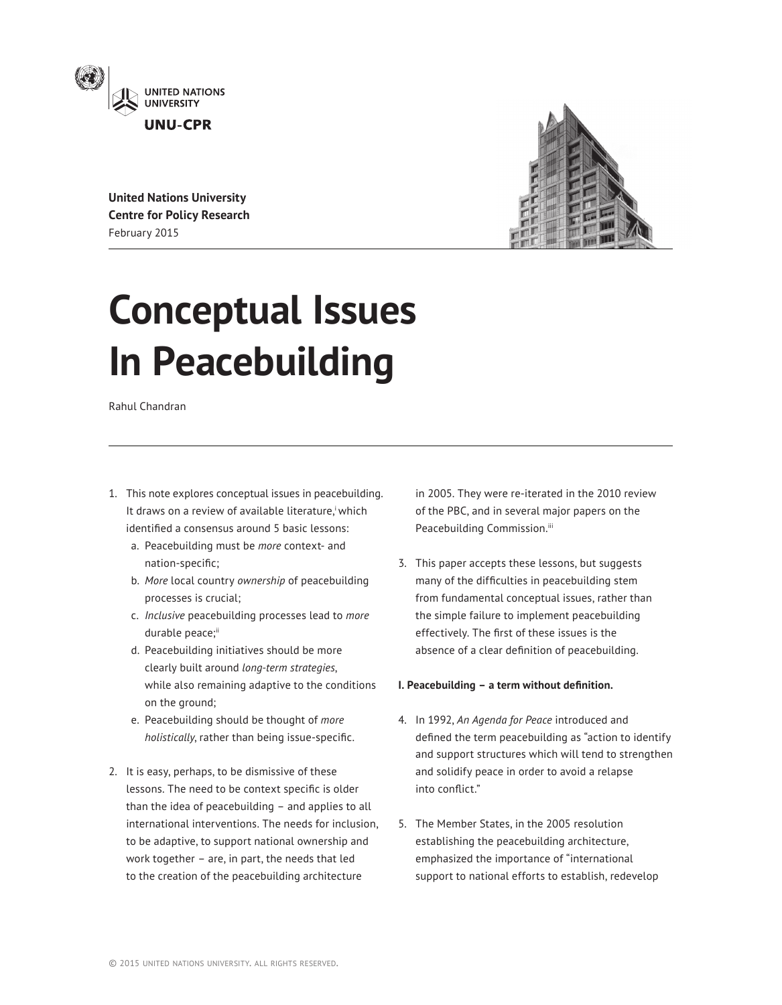

**United Nations University Centre for Policy Research** February 2015



# **Conceptual Issues In Peacebuilding**

Rahul Chandran

- 1. This note explores conceptual issues in peacebuilding. It draws on a review of available literature, which identified a consensus around 5 basic lessons:
	- a. Peacebuilding must be *more* context- and nation-specific;
	- b. *More* local country *ownership* of peacebuilding processes is crucial;
	- c. *Inclusive* peacebuilding processes lead to *more* durable peace;<sup>ii</sup>
	- d. Peacebuilding initiatives should be more clearly built around *long-term strategies*, while also remaining adaptive to the conditions on the ground;
	- e. Peacebuilding should be thought of *more holistically*, rather than being issue-specific.
- 2. It is easy, perhaps, to be dismissive of these lessons. The need to be context specific is older than the idea of peacebuilding – and applies to all international interventions. The needs for inclusion, to be adaptive, to support national ownership and work together – are, in part, the needs that led to the creation of the peacebuilding architecture

in 2005. They were re-iterated in the 2010 review of the PBC, and in several major papers on the Peacebuilding Commission.iii

3. This paper accepts these lessons, but suggests many of the difficulties in peacebuilding stem from fundamental conceptual issues, rather than the simple failure to implement peacebuilding effectively. The first of these issues is the absence of a clear definition of peacebuilding.

## **I. Peacebuilding - a term without definition.**

- 4. In 1992, *An Agenda for Peace* introduced and defined the term peacebuilding as "action to identify and support structures which will tend to strengthen and solidify peace in order to avoid a relapse into conflict."
- 5. The Member States, in the 2005 resolution establishing the peacebuilding architecture, emphasized the importance of "international support to national efforts to establish, redevelop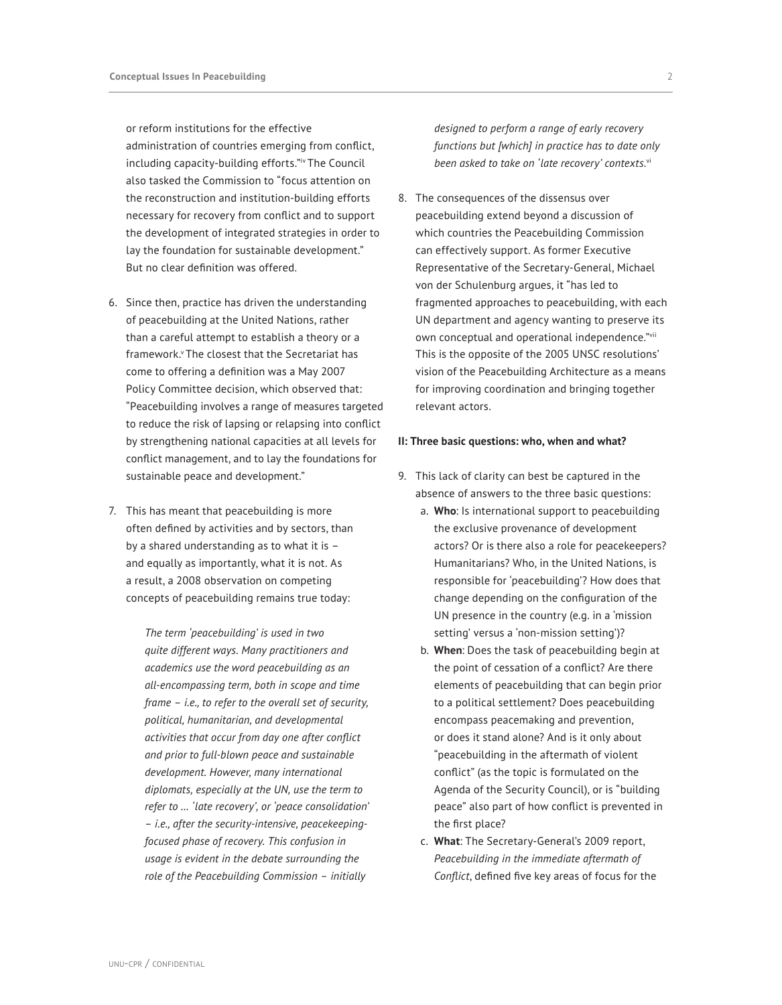or reform institutions for the effective administration of countries emerging from conflict, including capacity-building efforts."iv The Council also tasked the Commission to "focus attention on the reconstruction and institution-building efforts necessary for recovery from conflict and to support the development of integrated strategies in order to lay the foundation for sustainable development." But no clear definition was offered.

- 6. Since then, practice has driven the understanding of peacebuilding at the United Nations, rather than a careful attempt to establish a theory or a framework.v The closest that the Secretariat has come to offering a definition was a May 2007 Policy Committee decision, which observed that: "Peacebuilding involves a range of measures targeted to reduce the risk of lapsing or relapsing into conflict by strengthening national capacities at all levels for conflict management, and to lay the foundations for sustainable peace and development."
- 7. This has meant that peacebuilding is more often defined by activities and by sectors, than by a shared understanding as to what it is – and equally as importantly, what it is not. As a result, a 2008 observation on competing concepts of peacebuilding remains true today:

*The term 'peacebuilding' is used in two quite different ways. Many practitioners and academics use the word peacebuilding as an all-encompassing term, both in scope and time frame – i.e., to refer to the overall set of security, political, humanitarian, and developmental activities that occur from day one after conflict and prior to full-blown peace and sustainable development. However, many international diplomats, especially at the UN, use the term to refer to … 'late recovery', or 'peace consolidation' – i.e., after the security-intensive, peacekeepingfocused phase of recovery. This confusion in usage is evident in the debate surrounding the role of the Peacebuilding Commission – initially* 

*designed to perform a range of early recovery functions but [which] in practice has to date only been asked to take on 'late recovery' contexts.*vi

8. The consequences of the dissensus over peacebuilding extend beyond a discussion of which countries the Peacebuilding Commission can effectively support. As former Executive Representative of the Secretary-General, Michael von der Schulenburg argues, it "has led to fragmented approaches to peacebuilding, with each UN department and agency wanting to preserve its own conceptual and operational independence."vii This is the opposite of the 2005 UNSC resolutions' vision of the Peacebuilding Architecture as a means for improving coordination and bringing together relevant actors.

#### **II: Three basic questions: who, when and what?**

- 9. This lack of clarity can best be captured in the absence of answers to the three basic questions:
	- a. **Who**: Is international support to peacebuilding the exclusive provenance of development actors? Or is there also a role for peacekeepers? Humanitarians? Who, in the United Nations, is responsible for 'peacebuilding'? How does that change depending on the configuration of the UN presence in the country (e.g. in a 'mission setting' versus a 'non-mission setting')?
	- b. **When**: Does the task of peacebuilding begin at the point of cessation of a conflict? Are there elements of peacebuilding that can begin prior to a political settlement? Does peacebuilding encompass peacemaking and prevention, or does it stand alone? And is it only about "peacebuilding in the aftermath of violent conflict" (as the topic is formulated on the Agenda of the Security Council), or is "building peace" also part of how conflict is prevented in the first place?
	- c. **What**: The Secretary-General's 2009 report, *Peacebuilding in the immediate aftermath of Conflict*, defined five key areas of focus for the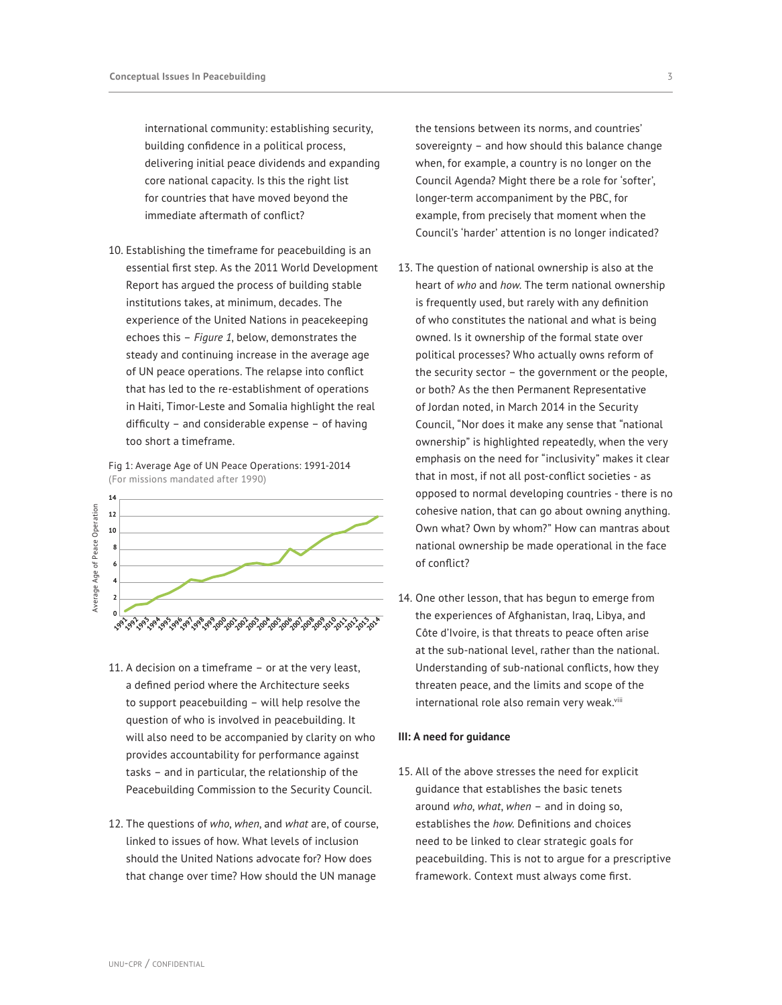international community: establishing security, building confidence in a political process, delivering initial peace dividends and expanding core national capacity. Is this the right list for countries that have moved beyond the immediate aftermath of conflict?

10. Establishing the timeframe for peacebuilding is an essential first step. As the 2011 World Development Report has argued the process of building stable institutions takes, at minimum, decades. The experience of the United Nations in peacekeeping echoes this – *Figure 1*, below, demonstrates the steady and continuing increase in the average age of UN peace operations. The relapse into conflict that has led to the re-establishment of operations in Haiti, Timor-Leste and Somalia highlight the real difficulty – and considerable expense – of having too short a timeframe.

Fig 1: Average Age of UN Peace Operations: 1991-2014 (For missions mandated after 1990)



- 11. A decision on a timeframe or at the very least, a defined period where the Architecture seeks to support peacebuilding – will help resolve the question of who is involved in peacebuilding. It will also need to be accompanied by clarity on who provides accountability for performance against tasks – and in particular, the relationship of the Peacebuilding Commission to the Security Council.
- 12. The questions of *who*, *when*, and *what* are, of course, linked to issues of how. What levels of inclusion should the United Nations advocate for? How does that change over time? How should the UN manage

the tensions between its norms, and countries' sovereignty – and how should this balance change when, for example, a country is no longer on the Council Agenda? Might there be a role for 'softer', longer-term accompaniment by the PBC, for example, from precisely that moment when the Council's 'harder' attention is no longer indicated?

- 13. The question of national ownership is also at the heart of *who* and *how*. The term national ownership is frequently used, but rarely with any definition of who constitutes the national and what is being owned. Is it ownership of the formal state over political processes? Who actually owns reform of the security sector – the government or the people, or both? As the then Permanent Representative of Jordan noted, in March 2014 in the Security Council, "Nor does it make any sense that "national ownership" is highlighted repeatedly, when the very emphasis on the need for "inclusivity" makes it clear that in most, if not all post-conflict societies - as opposed to normal developing countries - there is no cohesive nation, that can go about owning anything. Own what? Own by whom?" How can mantras about national ownership be made operational in the face of conflict?
- 14. One other lesson, that has begun to emerge from the experiences of Afghanistan, Iraq, Libya, and Côte d'Ivoire, is that threats to peace often arise at the sub-national level, rather than the national. Understanding of sub-national conflicts, how they threaten peace, and the limits and scope of the international role also remain very weak.<sup>viii</sup>

### **III: A need for guidance**

15. All of the above stresses the need for explicit guidance that establishes the basic tenets around *who*, *what*, *when* – and in doing so, establishes the *how*. Definitions and choices need to be linked to clear strategic goals for peacebuilding. This is not to argue for a prescriptive framework. Context must always come first.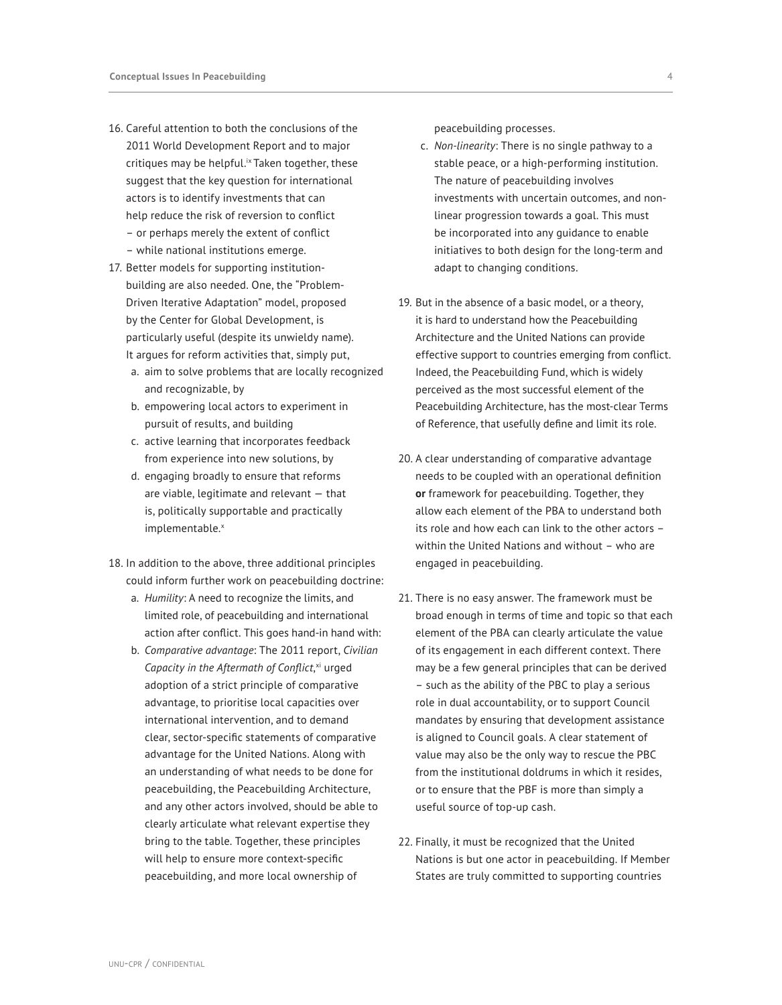- 16. Careful attention to both the conclusions of the 2011 World Development Report and to major critiques may be helpful.<sup>ix</sup> Taken together, these suggest that the key question for international actors is to identify investments that can help reduce the risk of reversion to conflict – or perhaps merely the extent of conflict
	- while national institutions emerge.
- 17. Better models for supporting institutionbuilding are also needed. One, the "Problem-Driven Iterative Adaptation" model, proposed by the Center for Global Development, is particularly useful (despite its unwieldy name). It argues for reform activities that, simply put,
	- a. aim to solve problems that are locally recognized and recognizable, by
	- b. empowering local actors to experiment in pursuit of results, and building
	- c. active learning that incorporates feedback from experience into new solutions, by
	- d. engaging broadly to ensure that reforms are viable, legitimate and relevant — that is, politically supportable and practically implementable.x
- 18. In addition to the above, three additional principles could inform further work on peacebuilding doctrine:
	- a. *Humility*: A need to recognize the limits, and limited role, of peacebuilding and international action after conflict. This goes hand-in hand with:
	- b. *Comparative advantage*: The 2011 report, *Civilian*  Capacity in the Aftermath of Conflict,<sup>xi</sup> urged adoption of a strict principle of comparative advantage, to prioritise local capacities over international intervention, and to demand clear, sector-specific statements of comparative advantage for the United Nations. Along with an understanding of what needs to be done for peacebuilding, the Peacebuilding Architecture, and any other actors involved, should be able to clearly articulate what relevant expertise they bring to the table. Together, these principles will help to ensure more context-specific peacebuilding, and more local ownership of

peacebuilding processes.

- c. *Non-linearity*: There is no single pathway to a stable peace, or a high-performing institution. The nature of peacebuilding involves investments with uncertain outcomes, and nonlinear progression towards a goal. This must be incorporated into any guidance to enable initiatives to both design for the long-term and adapt to changing conditions.
- 19. But in the absence of a basic model, or a theory, it is hard to understand how the Peacebuilding Architecture and the United Nations can provide effective support to countries emerging from conflict. Indeed, the Peacebuilding Fund, which is widely perceived as the most successful element of the Peacebuilding Architecture, has the most-clear Terms of Reference, that usefully define and limit its role.
- 20. A clear understanding of comparative advantage needs to be coupled with an operational definition **or** framework for peacebuilding. Together, they allow each element of the PBA to understand both its role and how each can link to the other actors – within the United Nations and without – who are engaged in peacebuilding.
- 21. There is no easy answer. The framework must be broad enough in terms of time and topic so that each element of the PBA can clearly articulate the value of its engagement in each different context. There may be a few general principles that can be derived – such as the ability of the PBC to play a serious role in dual accountability, or to support Council mandates by ensuring that development assistance is aligned to Council goals. A clear statement of value may also be the only way to rescue the PBC from the institutional doldrums in which it resides, or to ensure that the PBF is more than simply a useful source of top-up cash.
- 22. Finally, it must be recognized that the United Nations is but one actor in peacebuilding. If Member States are truly committed to supporting countries